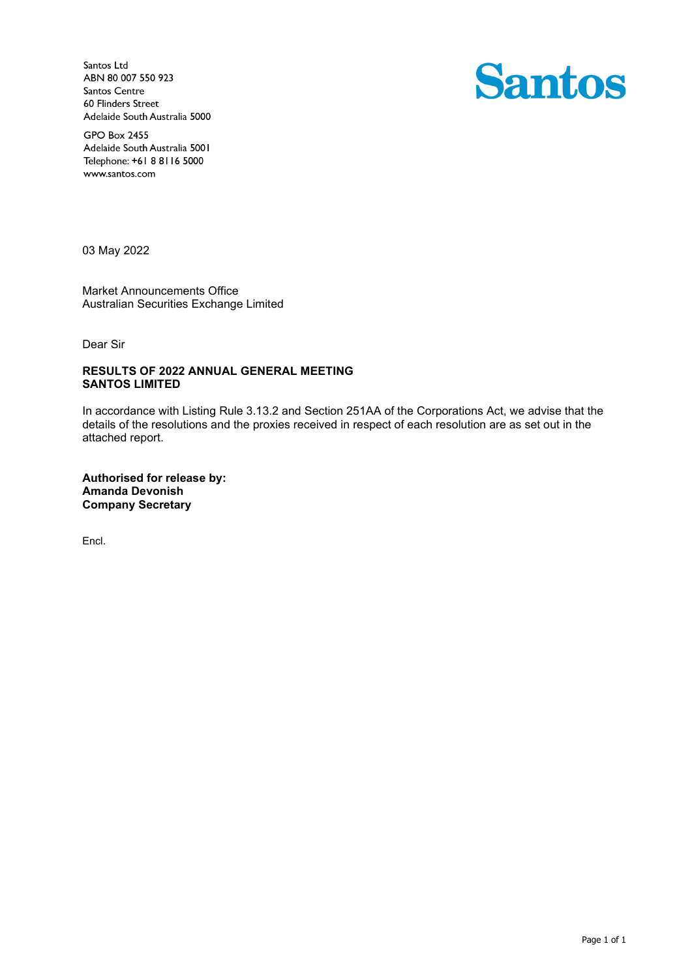Santos Ltd ABN 80 007 550 923 Santos Centre 60 Flinders Street Adelaide South Australia 5000



**GPO Box 2455** Adelaide South Australia 5001 Telephone: +61 8 8116 5000 www.santos.com

03 May 2022

Market Announcements Office Australian Securities Exchange Limited

Dear Sir

## **RESULTS OF 2022 ANNUAL GENERAL MEETING SANTOS LIMITED**

In accordance with Listing Rule 3.13.2 and Section 251AA of the Corporations Act, we advise that the details of the resolutions and the proxies received in respect of each resolution are as set out in the attached report.

**Authorised for release by: Amanda Devonish Company Secretary**

Encl.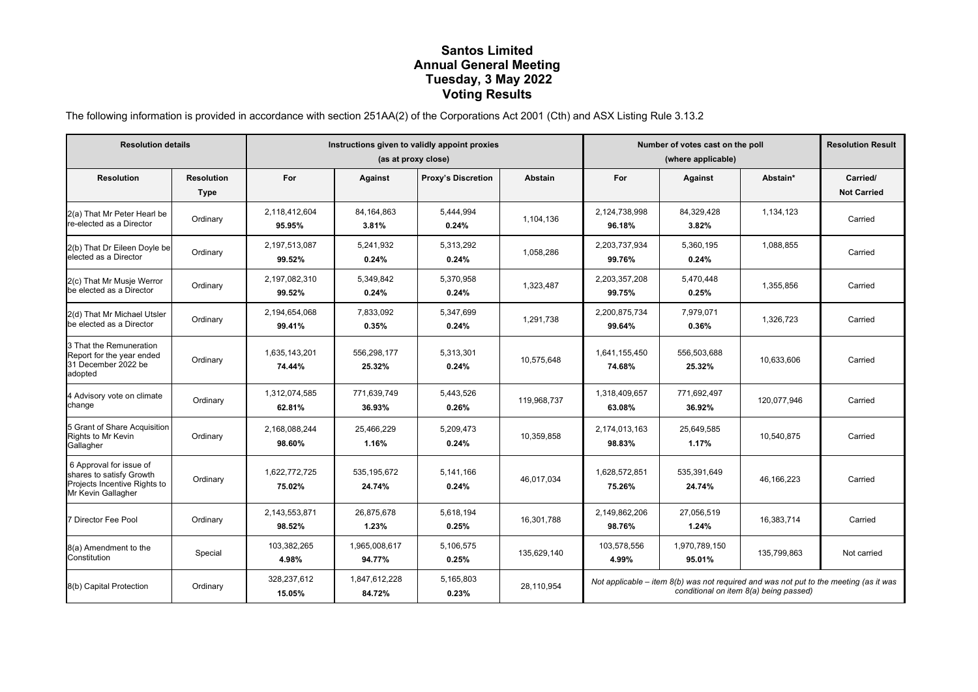## **Santos Limited Annual General Meeting Tuesday, 3 May 2022 Voting Results**

The following information is provided in accordance with section 251AA(2) of the Corporations Act 2001 (Cth) and ASX Listing Rule 3.13.2

| <b>Resolution details</b>                                                                                 |                                  | Instructions given to validly appoint proxies<br>(as at proxy close) |                         |                           |             | Number of votes cast on the poll<br>(where applicable)                                                                            |                         |              | <b>Resolution Result</b>       |
|-----------------------------------------------------------------------------------------------------------|----------------------------------|----------------------------------------------------------------------|-------------------------|---------------------------|-------------|-----------------------------------------------------------------------------------------------------------------------------------|-------------------------|--------------|--------------------------------|
| <b>Resolution</b>                                                                                         | <b>Resolution</b><br><b>Type</b> | For                                                                  | Against                 | <b>Proxy's Discretion</b> | Abstain     | For                                                                                                                               | Against                 | Abstain*     | Carried/<br><b>Not Carried</b> |
| 2(a) That Mr Peter Hearl be<br>re-elected as a Director                                                   | Ordinary                         | 2,118,412,604<br>95.95%                                              | 84,164,863<br>3.81%     | 5,444,994<br>0.24%        | 1,104,136   | 2,124,738,998<br>96.18%                                                                                                           | 84,329,428<br>3.82%     | 1,134,123    | Carried                        |
| 2(b) That Dr Eileen Doyle be<br>elected as a Director                                                     | Ordinary                         | 2,197,513,087<br>99.52%                                              | 5,241,932<br>0.24%      | 5,313,292<br>0.24%        | 1,058,286   | 2,203,737,934<br>99.76%                                                                                                           | 5,360,195<br>0.24%      | 1,088,855    | Carried                        |
| 2(c) That Mr Musje Werror<br>be elected as a Director                                                     | Ordinary                         | 2,197,082,310<br>99.52%                                              | 5,349,842<br>0.24%      | 5,370,958<br>0.24%        | 1,323,487   | 2,203,357,208<br>99.75%                                                                                                           | 5,470,448<br>0.25%      | 1,355,856    | Carried                        |
| 2(d) That Mr Michael Utsler<br>be elected as a Director                                                   | Ordinary                         | 2,194,654,068<br>99.41%                                              | 7,833,092<br>0.35%      | 5,347,699<br>0.24%        | 1,291,738   | 2,200,875,734<br>99.64%                                                                                                           | 7,979,071<br>0.36%      | 1,326,723    | Carried                        |
| 3 That the Remuneration<br>Report for the year ended<br>31 December 2022 be<br>adopted                    | Ordinary                         | 1,635,143,201<br>74.44%                                              | 556,298,177<br>25.32%   | 5,313,301<br>0.24%        | 10,575,648  | 1,641,155,450<br>74.68%                                                                                                           | 556,503,688<br>25.32%   | 10,633,606   | Carried                        |
| 4 Advisory vote on climate<br>change                                                                      | Ordinary                         | 1,312,074,585<br>62.81%                                              | 771,639,749<br>36.93%   | 5,443,526<br>0.26%        | 119,968,737 | 1,318,409,657<br>63.08%                                                                                                           | 771,692,497<br>36.92%   | 120,077,946  | Carried                        |
| 5 Grant of Share Acquisition<br>Rights to Mr Kevin<br>Gallagher                                           | Ordinary                         | 2,168,088,244<br>98.60%                                              | 25,466,229<br>1.16%     | 5,209,473<br>0.24%        | 10,359,858  | 2,174,013,163<br>98.83%                                                                                                           | 25,649,585<br>1.17%     | 10,540,875   | Carried                        |
| 6 Approval for issue of<br>shares to satisfy Growth<br>Projects Incentive Rights to<br>Mr Kevin Gallagher | Ordinary                         | 1,622,772,725<br>75.02%                                              | 535, 195, 672<br>24.74% | 5,141,166<br>0.24%        | 46,017,034  | 1,628,572,851<br>75.26%                                                                                                           | 535,391,649<br>24.74%   | 46, 166, 223 | Carried                        |
| 7 Director Fee Pool                                                                                       | Ordinary                         | 2,143,553,871<br>98.52%                                              | 26,875,678<br>1.23%     | 5,618,194<br>0.25%        | 16,301,788  | 2,149,862,206<br>98.76%                                                                                                           | 27,056,519<br>1.24%     | 16,383,714   | Carried                        |
| 8(a) Amendment to the<br>Constitution                                                                     | Special                          | 103,382,265<br>4.98%                                                 | 1,965,008,617<br>94.77% | 5,106,575<br>0.25%        | 135.629.140 | 103,578,556<br>4.99%                                                                                                              | 1,970,789,150<br>95.01% | 135,799,863  | Not carried                    |
| 8(b) Capital Protection                                                                                   | Ordinary                         | 328.237.612<br>15.05%                                                | 1,847,612,228<br>84.72% | 5,165,803<br>0.23%        | 28,110,954  | Not applicable – item $8(b)$ was not required and was not put to the meeting (as it was<br>conditional on item 8(a) being passed) |                         |              |                                |